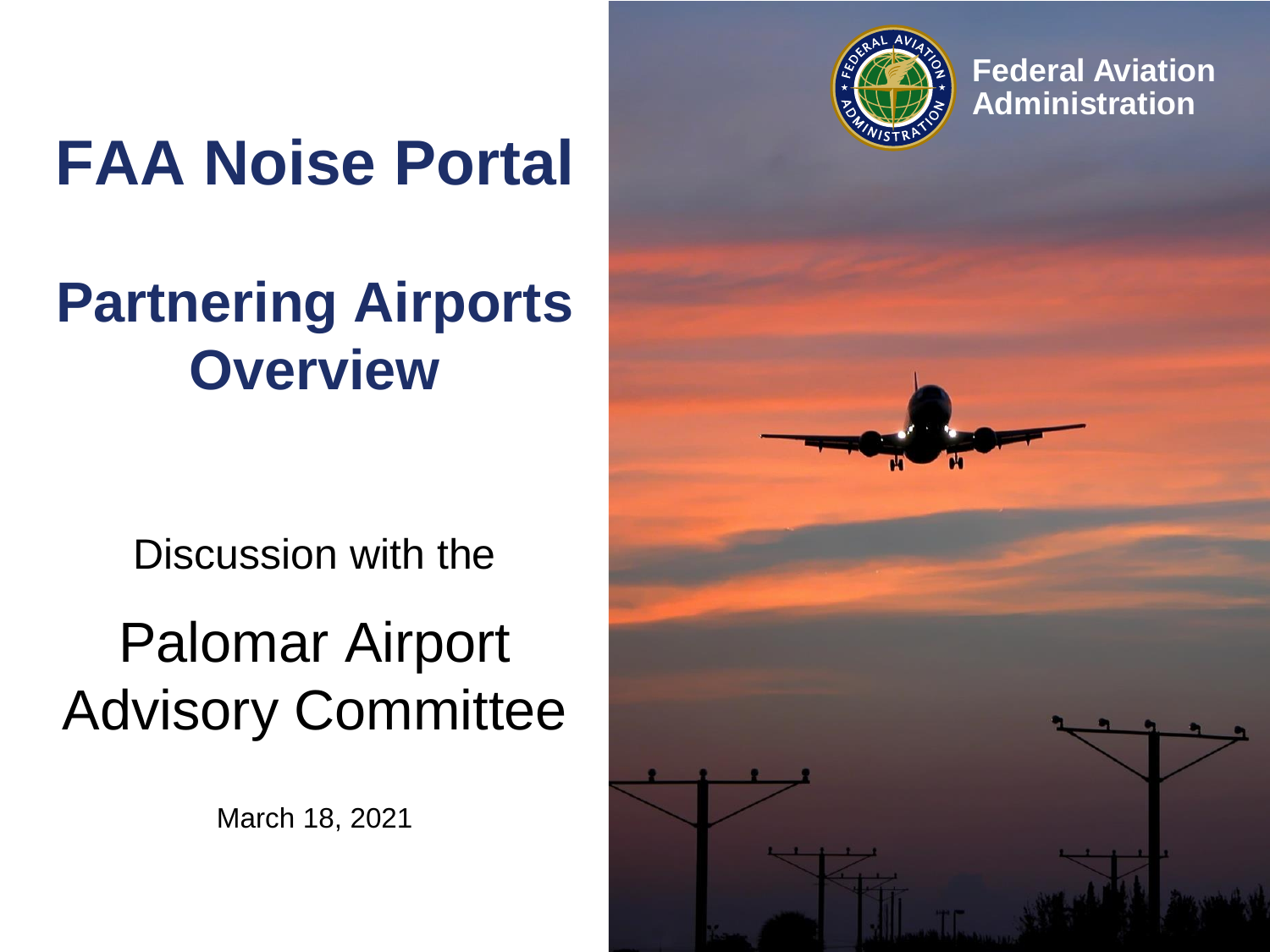

**Federal Aviation Administration**

# **FAA Noise Portal**

## **Partnering Airports Overview**

Discussion with the

## Palomar Airport Advisory Committee

March 18, 2021

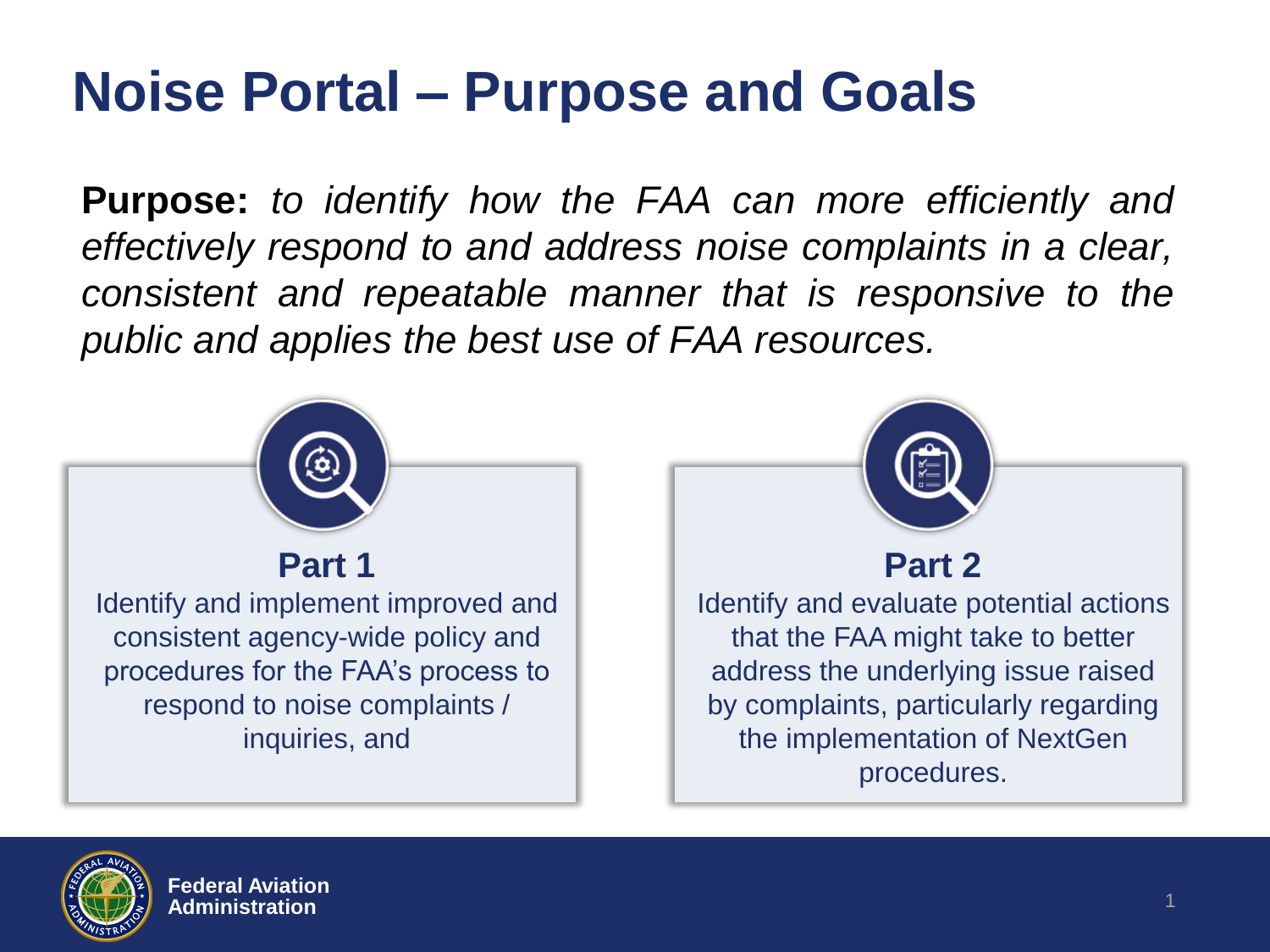### **Noise Portal – Purpose and Goals**

**Purpose:** *to identify how the FAA can more efficiently and effectively respond to and address noise complaints in a clear, consistent and repeatable manner that is responsive to the public and applies the best use of FAA resources.*



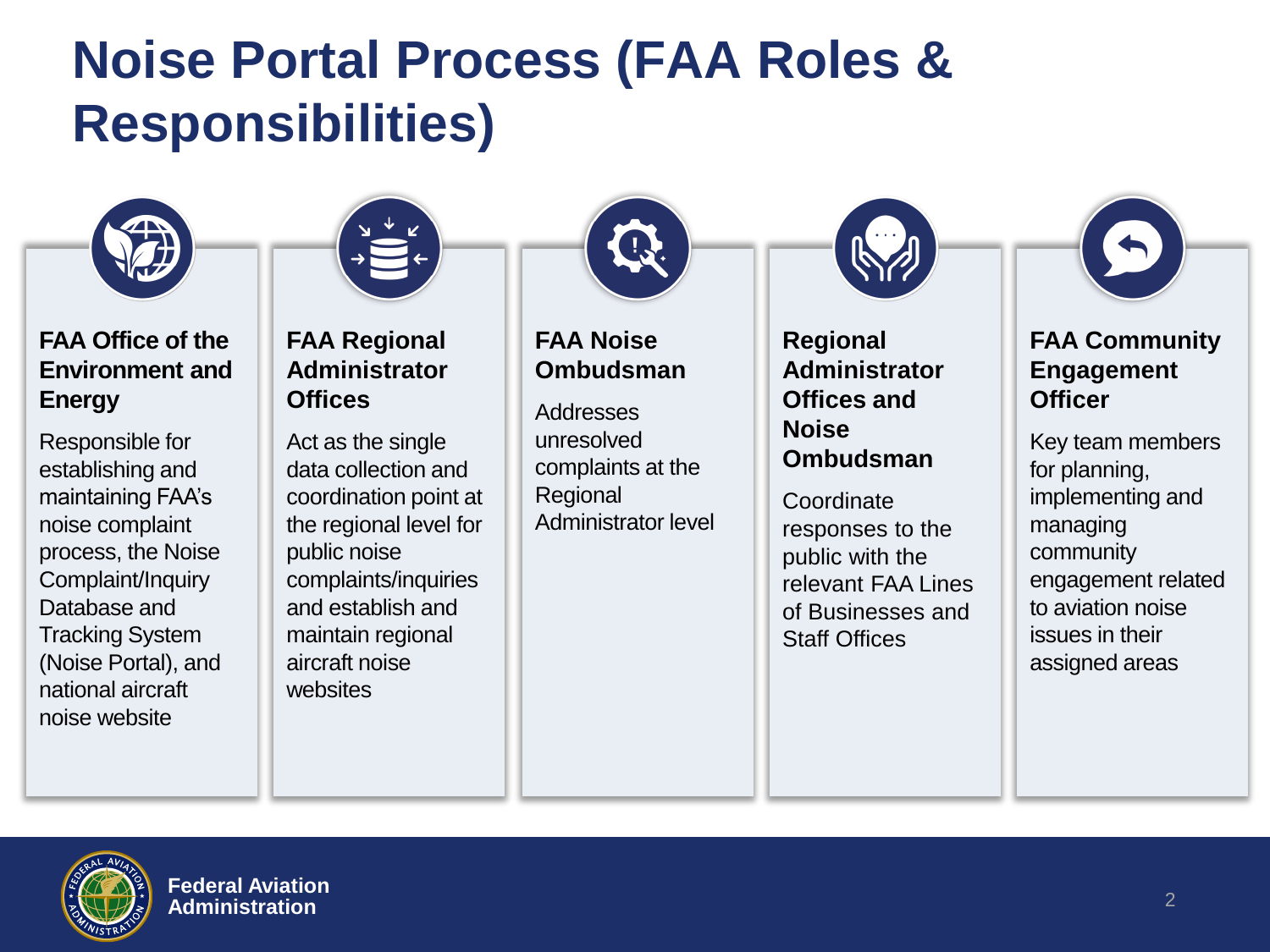### **Noise Portal Process (FAA Roles & Responsibilities)**



#### **FAA Office of the Environment and Energy**

Responsible for establishing and maintaining FAA's noise complaint process, the Noise Complaint/Inquiry Database and Tracking System (Noise Portal), and national aircraft noise website



#### **FAA Regional Administrator Offices**

Act as the single data collection and coordination point at the regional level for public noise complaints/inquiries and establish and maintain regional aircraft noise websites



#### **FAA Noise Ombudsman**

Addresses unresolved complaints at the Regional Administrator level **Regional Administrator Offices and Noise Ombudsman** 

**Coordinate** responses to the public with the relevant FAA Lines of Businesses and Staff Offices



#### **FAA Community Engagement Officer**

Key team members for planning, implementing and managing community engagement related to aviation noise issues in their assigned areas

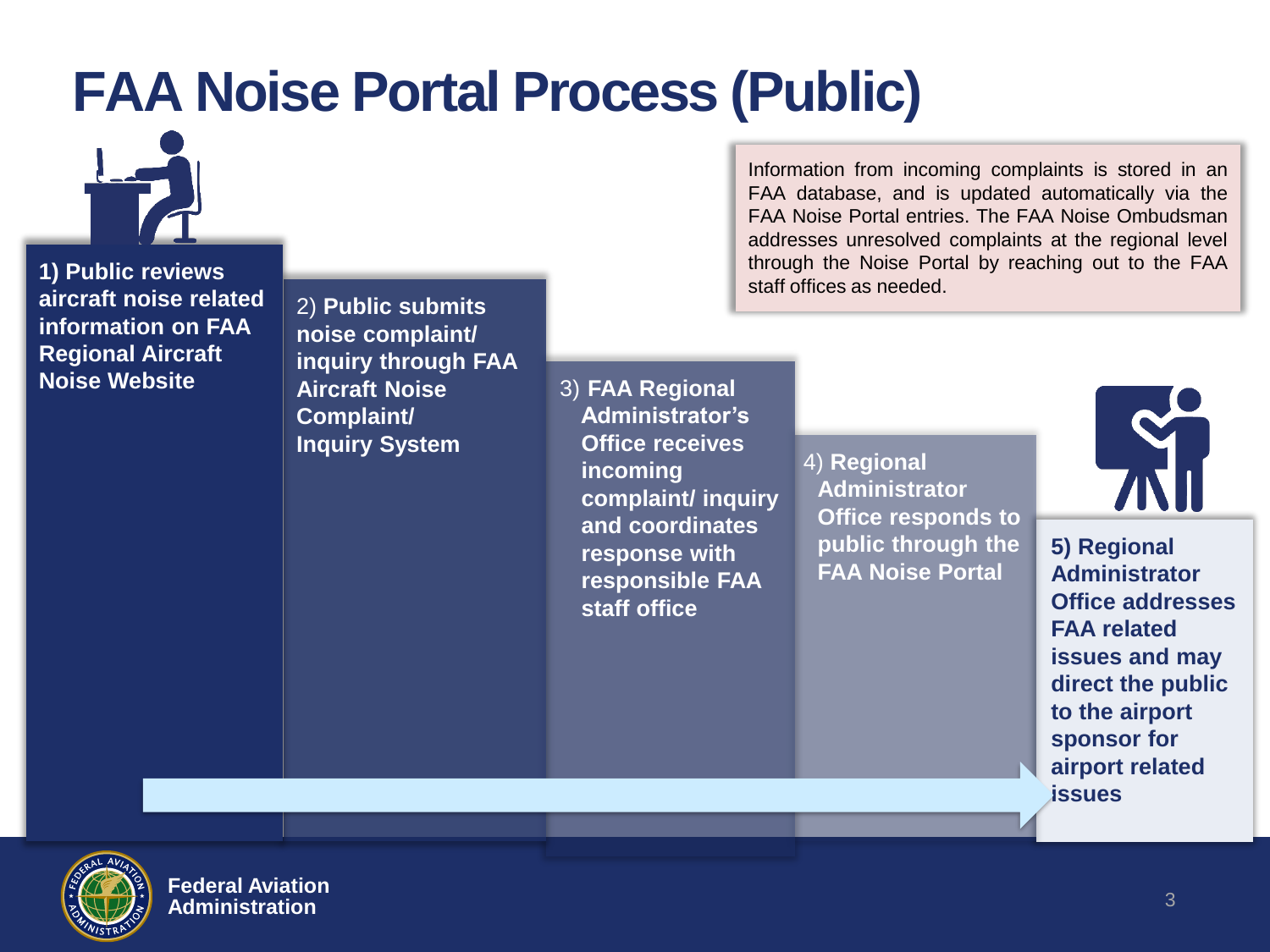### **FAA Noise Portal Process (Public)**



**1) Public reviews aircraft noise related information on FAA Regional Aircraft Noise Website**

2) **Public submits noise complaint/ inquiry through FAA Aircraft Noise Complaint/ Inquiry System**

3) **FAA Regional Administrator's Office receives incoming complaint/ inquiry and coordinates response with responsible FAA staff office**

Information from incoming complaints is stored in an FAA database, and is updated automatically via the FAA Noise Portal entries. The FAA Noise Ombudsman addresses unresolved complaints at the regional level through the Noise Portal by reaching out to the FAA staff offices as needed.

> 4) **Regional Administrator Office responds to public through the FAA Noise Portal**



**5) Regional Administrator Office addresses FAA related issues and may direct the public to the airport sponsor for airport related issues**



**Federal Aviation Administration**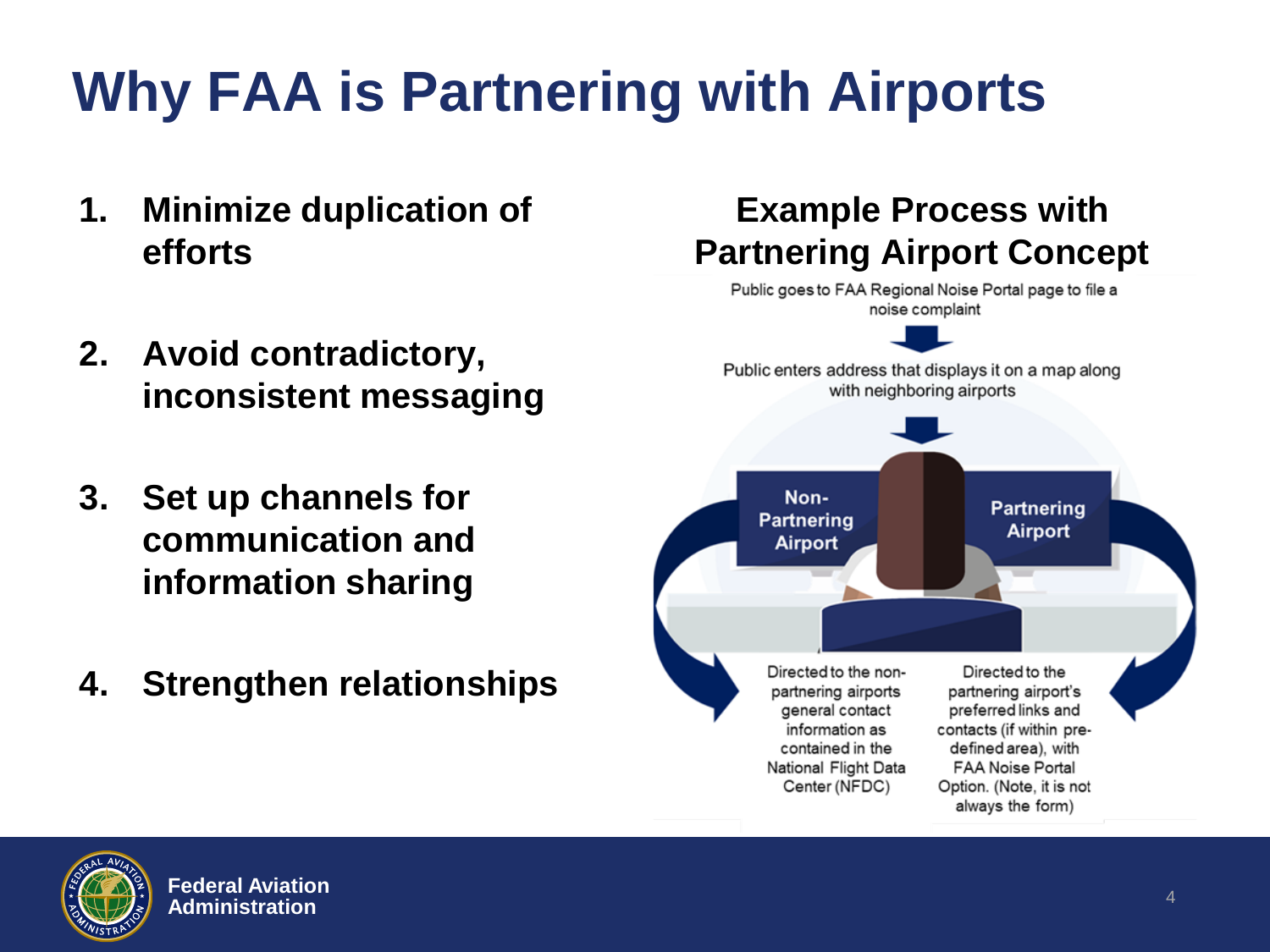# **Why FAA is Partnering with Airports**

- **1. Minimize duplication of efforts**
- **2. Avoid contradictory, inconsistent messaging**
- **3. Set up channels for communication and information sharing**
- **4. Strengthen relationships**



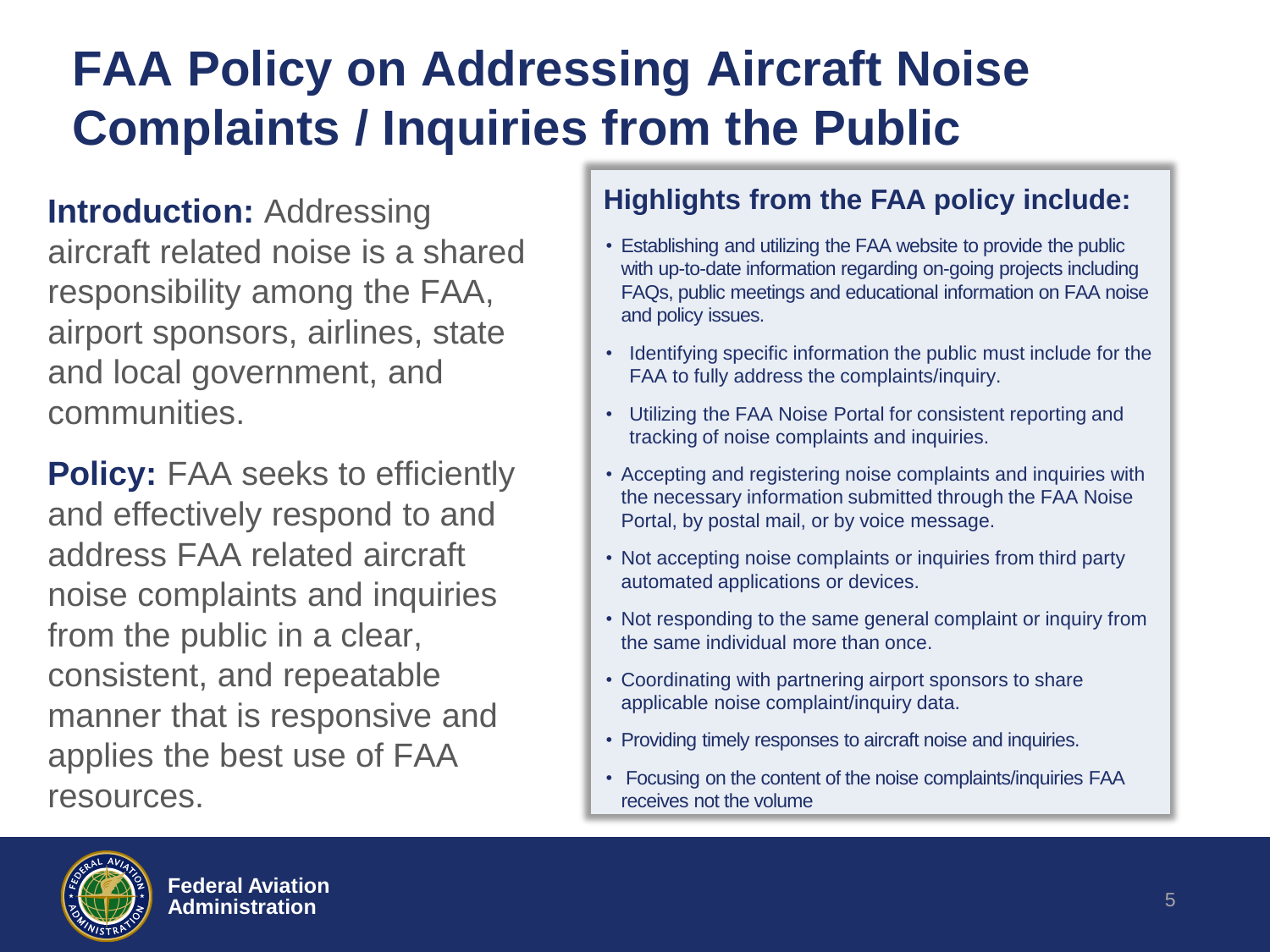### **FAA Policy on Addressing Aircraft Noise Complaints / Inquiries from the Public**

**Introduction: Addressing** aircraft related noise is a shared responsibility among the FAA, airport sponsors, airlines, state and local government, and communities.

**Policy: FAA seeks to efficiently** and effectively respond to and address FAA related aircraft noise complaints and inquiries from the public in a clear, consistent, and repeatable manner that is responsive and applies the best use of FAA resources.

#### **Highlights from the FAA policy include:**

- Establishing and utilizing the FAA website to provide the public with up-to-date information regarding on-going projects including FAQs, public meetings and educational information on FAA noise and policy issues.
- Identifying specific information the public must include for the FAA to fully address the complaints/inquiry.
- Utilizing the FAA Noise Portal for consistent reporting and tracking of noise complaints and inquiries.
- Accepting and registering noise complaints and inquiries with the necessary information submitted through the FAA Noise Portal, by postal mail, or by voice message.
- Not accepting noise complaints or inquiries from third party automated applications or devices.
- Not responding to the same general complaint or inquiry from the same individual more than once.
- Coordinating with partnering airport sponsors to share applicable noise complaint/inquiry data.
- Providing timely responses to aircraft noise and inquiries.
- Focusing on the content of the noise complaints/inquiries FAA receives not the volume